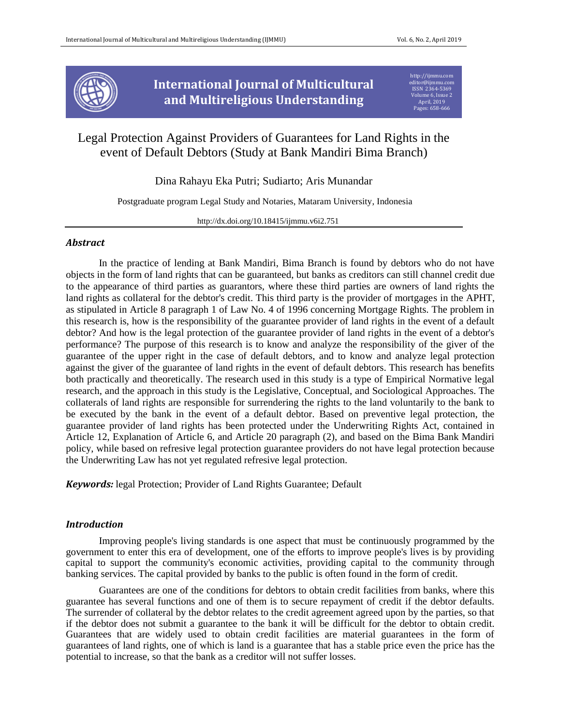

**International Journal of Multicultural and Multireligious Understanding**

[http://ijmmu.com](http://ijmmu.com/) [editor@ijmmu.com](mailto:editor@ijmmu.com) ISSN 2364-5369 Volume 6, Issue 2 April, 2019 Pages: 658-666

# Legal Protection Against Providers of Guarantees for Land Rights in the event of Default Debtors (Study at Bank Mandiri Bima Branch)

Dina Rahayu Eka Putri; Sudiarto; Aris Munandar

Postgraduate program Legal Study and Notaries, Mataram University, Indonesia

http://dx.doi.org/10.18415/ijmmu.v6i2.751

## *Abstract*

In the practice of lending at Bank Mandiri, Bima Branch is found by debtors who do not have objects in the form of land rights that can be guaranteed, but banks as creditors can still channel credit due to the appearance of third parties as guarantors, where these third parties are owners of land rights the land rights as collateral for the debtor's credit. This third party is the provider of mortgages in the APHT, as stipulated in Article 8 paragraph 1 of Law No. 4 of 1996 concerning Mortgage Rights. The problem in this research is, how is the responsibility of the guarantee provider of land rights in the event of a default debtor? And how is the legal protection of the guarantee provider of land rights in the event of a debtor's performance? The purpose of this research is to know and analyze the responsibility of the giver of the guarantee of the upper right in the case of default debtors, and to know and analyze legal protection against the giver of the guarantee of land rights in the event of default debtors. This research has benefits both practically and theoretically. The research used in this study is a type of Empirical Normative legal research, and the approach in this study is the Legislative, Conceptual, and Sociological Approaches. The collaterals of land rights are responsible for surrendering the rights to the land voluntarily to the bank to be executed by the bank in the event of a default debtor. Based on preventive legal protection, the guarantee provider of land rights has been protected under the Underwriting Rights Act, contained in Article 12, Explanation of Article 6, and Article 20 paragraph (2), and based on the Bima Bank Mandiri policy, while based on refresive legal protection guarantee providers do not have legal protection because the Underwriting Law has not yet regulated refresive legal protection.

*Keywords:* legal Protection; Provider of Land Rights Guarantee; Default

#### *Introduction*

Improving people's living standards is one aspect that must be continuously programmed by the government to enter this era of development, one of the efforts to improve people's lives is by providing capital to support the community's economic activities, providing capital to the community through banking services. The capital provided by banks to the public is often found in the form of credit.

Guarantees are one of the conditions for debtors to obtain credit facilities from banks, where this guarantee has several functions and one of them is to secure repayment of credit if the debtor defaults. The surrender of collateral by the debtor relates to the credit agreement agreed upon by the parties, so that if the debtor does not submit a guarantee to the bank it will be difficult for the debtor to obtain credit. Guarantees that are widely used to obtain credit facilities are material guarantees in the form of guarantees of land rights, one of which is land is a guarantee that has a stable price even the price has the potential to increase, so that the bank as a creditor will not suffer losses.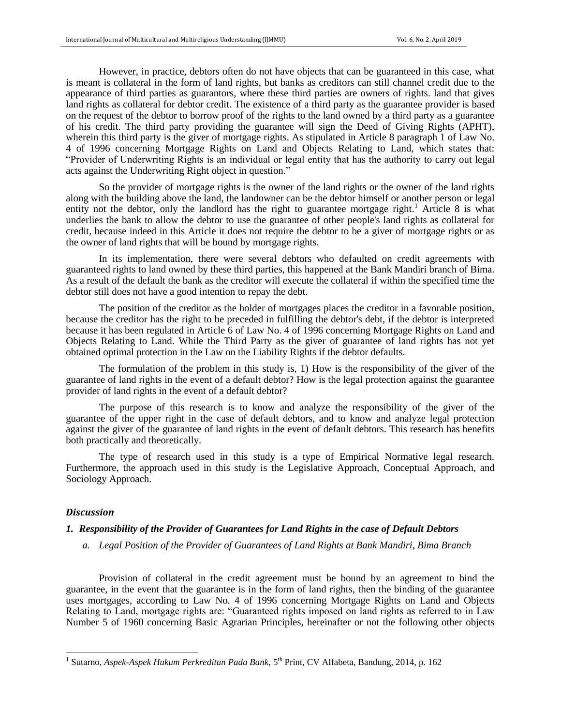However, in practice, debtors often do not have objects that can be guaranteed in this case, what is meant is collateral in the form of land rights, but banks as creditors can still channel credit due to the appearance of third parties as guarantors, where these third parties are owners of rights. land that gives land rights as collateral for debtor credit. The existence of a third party as the guarantee provider is based on the request of the debtor to borrow proof of the rights to the land owned by a third party as a guarantee of his credit. The third party providing the guarantee will sign the Deed of Giving Rights (APHT), wherein this third party is the giver of mortgage rights. As stipulated in Article 8 paragraph 1 of Law No. 4 of 1996 concerning Mortgage Rights on Land and Objects Relating to Land, which states that: "Provider of Underwriting Rights is an individual or legal entity that has the authority to carry out legal acts against the Underwriting Right object in question."

So the provider of mortgage rights is the owner of the land rights or the owner of the land rights along with the building above the land, the landowner can be the debtor himself or another person or legal entity not the debtor, only the landlord has the right to guarantee mortgage right.<sup>1</sup> Article 8 is what underlies the bank to allow the debtor to use the guarantee of other people's land rights as collateral for credit, because indeed in this Article it does not require the debtor to be a giver of mortgage rights or as the owner of land rights that will be bound by mortgage rights.

In its implementation, there were several debtors who defaulted on credit agreements with guaranteed rights to land owned by these third parties, this happened at the Bank Mandiri branch of Bima. As a result of the default the bank as the creditor will execute the collateral if within the specified time the debtor still does not have a good intention to repay the debt.

The position of the creditor as the holder of mortgages places the creditor in a favorable position, because the creditor has the right to be preceded in fulfilling the debtor's debt, if the debtor is interpreted because it has been regulated in Article 6 of Law No. 4 of 1996 concerning Mortgage Rights on Land and Objects Relating to Land. While the Third Party as the giver of guarantee of land rights has not yet obtained optimal protection in the Law on the Liability Rights if the debtor defaults.

The formulation of the problem in this study is, 1) How is the responsibility of the giver of the guarantee of land rights in the event of a default debtor? How is the legal protection against the guarantee provider of land rights in the event of a default debtor?

The purpose of this research is to know and analyze the responsibility of the giver of the guarantee of the upper right in the case of default debtors, and to know and analyze legal protection against the giver of the guarantee of land rights in the event of default debtors. This research has benefits both practically and theoretically.

The type of research used in this study is a type of Empirical Normative legal research. Furthermore, the approach used in this study is the Legislative Approach, Conceptual Approach, and Sociology Approach.

#### *Discussion*

## *1. Responsibility of the Provider of Guarantees for Land Rights in the case of Default Debtors*

*a. Legal Position of the Provider of Guarantees of Land Rights at Bank Mandiri, Bima Branch*

Provision of collateral in the credit agreement must be bound by an agreement to bind the guarantee, in the event that the guarantee is in the form of land rights, then the binding of the guarantee uses mortgages, according to Law No. 4 of 1996 concerning Mortgage Rights on Land and Objects Relating to Land, mortgage rights are: "Guaranteed rights imposed on land rights as referred to in Law Number 5 of 1960 concerning Basic Agrarian Principles, hereinafter or not the following other objects

<sup>&</sup>lt;sup>1</sup> Sutarno, *Aspek-Aspek Hukum Perkreditan Pada Bank*, 5<sup>th</sup> Print, CV Alfabeta, Bandung, 2014, p. 162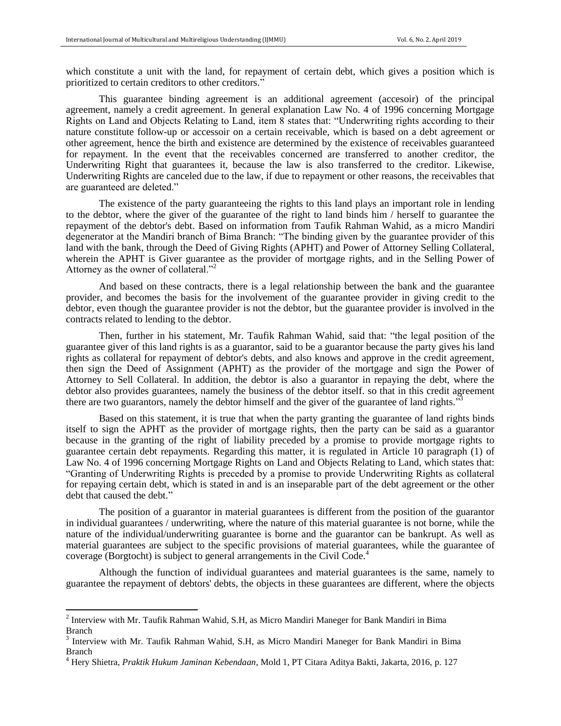which constitute a unit with the land, for repayment of certain debt, which gives a position which is prioritized to certain creditors to other creditors."

This guarantee binding agreement is an additional agreement (accesoir) of the principal agreement, namely a credit agreement. In general explanation Law No. 4 of 1996 concerning Mortgage Rights on Land and Objects Relating to Land, item 8 states that: "Underwriting rights according to their nature constitute follow-up or accessoir on a certain receivable, which is based on a debt agreement or other agreement, hence the birth and existence are determined by the existence of receivables guaranteed for repayment. In the event that the receivables concerned are transferred to another creditor, the Underwriting Right that guarantees it, because the law is also transferred to the creditor. Likewise, Underwriting Rights are canceled due to the law, if due to repayment or other reasons, the receivables that are guaranteed are deleted."

The existence of the party guaranteeing the rights to this land plays an important role in lending to the debtor, where the giver of the guarantee of the right to land binds him / herself to guarantee the repayment of the debtor's debt. Based on information from Taufik Rahman Wahid, as a micro Mandiri degenerator at the Mandiri branch of Bima Branch: "The binding given by the guarantee provider of this land with the bank, through the Deed of Giving Rights (APHT) and Power of Attorney Selling Collateral, wherein the APHT is Giver guarantee as the provider of mortgage rights, and in the Selling Power of Attorney as the owner of collateral."<sup>2</sup>

And based on these contracts, there is a legal relationship between the bank and the guarantee provider, and becomes the basis for the involvement of the guarantee provider in giving credit to the debtor, even though the guarantee provider is not the debtor, but the guarantee provider is involved in the contracts related to lending to the debtor.

Then, further in his statement, Mr. Taufik Rahman Wahid, said that: "the legal position of the guarantee giver of this land rights is as a guarantor, said to be a guarantor because the party gives his land rights as collateral for repayment of debtor's debts, and also knows and approve in the credit agreement, then sign the Deed of Assignment (APHT) as the provider of the mortgage and sign the Power of Attorney to Sell Collateral. In addition, the debtor is also a guarantor in repaying the debt, where the debtor also provides guarantees, namely the business of the debtor itself. so that in this credit agreement there are two guarantors, namely the debtor himself and the giver of the guarantee of land rights."

Based on this statement, it is true that when the party granting the guarantee of land rights binds itself to sign the APHT as the provider of mortgage rights, then the party can be said as a guarantor because in the granting of the right of liability preceded by a promise to provide mortgage rights to guarantee certain debt repayments. Regarding this matter, it is regulated in Article 10 paragraph (1) of Law No. 4 of 1996 concerning Mortgage Rights on Land and Objects Relating to Land, which states that: "Granting of Underwriting Rights is preceded by a promise to provide Underwriting Rights as collateral for repaying certain debt, which is stated in and is an inseparable part of the debt agreement or the other debt that caused the debt."

The position of a guarantor in material guarantees is different from the position of the guarantor in individual guarantees / underwriting, where the nature of this material guarantee is not borne, while the nature of the individual/underwriting guarantee is borne and the guarantor can be bankrupt. As well as material guarantees are subject to the specific provisions of material guarantees, while the guarantee of coverage (Borgtocht) is subject to general arrangements in the Civil Code.<sup>4</sup>

Although the function of individual guarantees and material guarantees is the same, namely to guarantee the repayment of debtors' debts, the objects in these guarantees are different, where the objects

 $\overline{\phantom{a}}$ 

<sup>&</sup>lt;sup>2</sup> Interview with Mr. Taufik Rahman Wahid, S.H, as Micro Mandiri Maneger for Bank Mandiri in Bima Branch

<sup>&</sup>lt;sup>3</sup> Interview with Mr. Taufik Rahman Wahid, S.H, as Micro Mandiri Maneger for Bank Mandiri in Bima Branch

<sup>4</sup> Hery Shietra, *Praktik Hukum Jaminan Kebendaan*, Mold 1, PT Citara Aditya Bakti, Jakarta, 2016, p. 127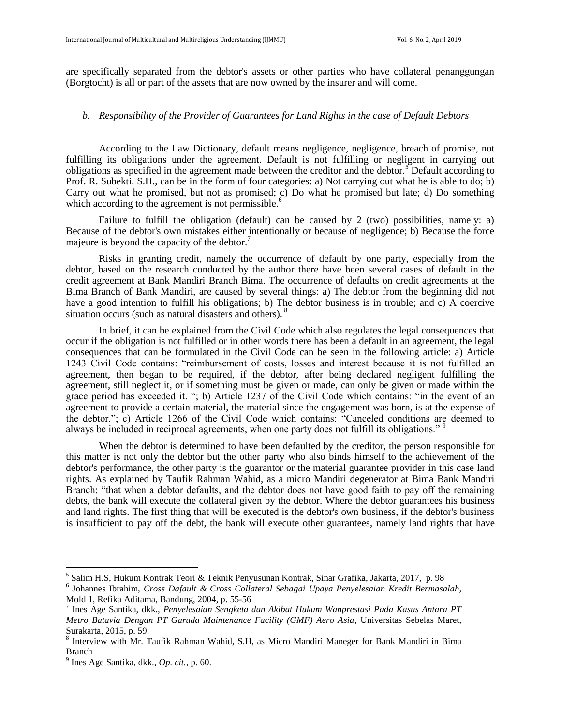are specifically separated from the debtor's assets or other parties who have collateral penanggungan (Borgtocht) is all or part of the assets that are now owned by the insurer and will come.

## *b. Responsibility of the Provider of Guarantees for Land Rights in the case of Default Debtors*

According to the Law Dictionary, default means negligence, negligence, breach of promise, not fulfilling its obligations under the agreement. Default is not fulfilling or negligent in carrying out obligations as specified in the agreement made between the creditor and the debtor.<sup>5</sup> Default according to Prof. R. Subekti. S.H., can be in the form of four categories: a) Not carrying out what he is able to do; b) Carry out what he promised, but not as promised; c) Do what he promised but late; d) Do something which according to the agreement is not permissible. $\frac{6}{5}$ 

Failure to fulfill the obligation (default) can be caused by 2 (two) possibilities, namely: a) Because of the debtor's own mistakes either intentionally or because of negligence; b) Because the force majeure is beyond the capacity of the debtor.<sup>7</sup>

Risks in granting credit, namely the occurrence of default by one party, especially from the debtor, based on the research conducted by the author there have been several cases of default in the credit agreement at Bank Mandiri Branch Bima. The occurrence of defaults on credit agreements at the Bima Branch of Bank Mandiri, are caused by several things: a) The debtor from the beginning did not have a good intention to fulfill his obligations; b) The debtor business is in trouble; and c) A coercive situation occurs (such as natural disasters and others). <sup>8</sup>

In brief, it can be explained from the Civil Code which also regulates the legal consequences that occur if the obligation is not fulfilled or in other words there has been a default in an agreement, the legal consequences that can be formulated in the Civil Code can be seen in the following article: a) Article 1243 Civil Code contains: "reimbursement of costs, losses and interest because it is not fulfilled an agreement, then began to be required, if the debtor, after being declared negligent fulfilling the agreement, still neglect it, or if something must be given or made, can only be given or made within the grace period has exceeded it. "; b) Article 1237 of the Civil Code which contains: "in the event of an agreement to provide a certain material, the material since the engagement was born, is at the expense of the debtor."; c) Article 1266 of the Civil Code which contains: "Canceled conditions are deemed to always be included in reciprocal agreements, when one party does not fulfill its obligations."<sup>9</sup>

When the debtor is determined to have been defaulted by the creditor, the person responsible for this matter is not only the debtor but the other party who also binds himself to the achievement of the debtor's performance, the other party is the guarantor or the material guarantee provider in this case land rights. As explained by Taufik Rahman Wahid, as a micro Mandiri degenerator at Bima Bank Mandiri Branch: "that when a debtor defaults, and the debtor does not have good faith to pay off the remaining debts, the bank will execute the collateral given by the debtor. Where the debtor guarantees his business and land rights. The first thing that will be executed is the debtor's own business, if the debtor's business is insufficient to pay off the debt, the bank will execute other guarantees, namely land rights that have

 $\overline{a}$ 

<sup>5</sup> Salim H.S, Hukum Kontrak Teori & Teknik Penyusunan Kontrak, Sinar Grafika, Jakarta, 2017, p. 98

<sup>6</sup> Johannes Ibrahim, *Cross Dafault & Cross Collateral Sebagai Upaya Penyelesaian Kredit Bermasalah,* Mold 1, Refika Aditama, Bandung, 2004, p. 55-56

<sup>7</sup> Ines Age Santika, dkk., *Penyelesaian Sengketa dan Akibat Hukum Wanprestasi Pada Kasus Antara PT Metro Batavia Dengan PT Garuda Maintenance Facility (GMF) Aero Asia*, Universitas Sebelas Maret, Surakarta, 2015, p. 59.

<sup>&</sup>lt;sup>8</sup> Interview with Mr. Taufik Rahman Wahid, S.H, as Micro Mandiri Maneger for Bank Mandiri in Bima Branch

<sup>9</sup> Ines Age Santika, dkk., *Op. cit.*, p. 60.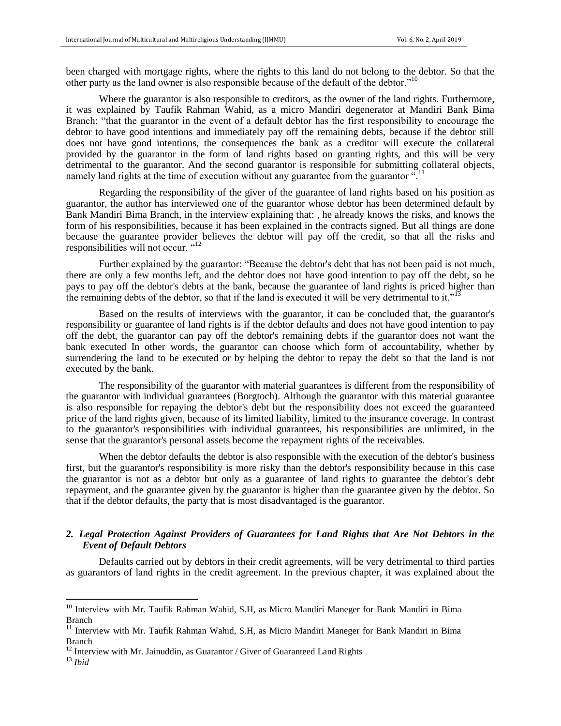been charged with mortgage rights, where the rights to this land do not belong to the debtor. So that the other party as the land owner is also responsible because of the default of the debtor."<sup>10</sup>

Where the guarantor is also responsible to creditors, as the owner of the land rights. Furthermore, it was explained by Taufik Rahman Wahid, as a micro Mandiri degenerator at Mandiri Bank Bima Branch: "that the guarantor in the event of a default debtor has the first responsibility to encourage the debtor to have good intentions and immediately pay off the remaining debts, because if the debtor still does not have good intentions, the consequences the bank as a creditor will execute the collateral provided by the guarantor in the form of land rights based on granting rights, and this will be very detrimental to the guarantor. And the second guarantor is responsible for submitting collateral objects, namely land rights at the time of execution without any guarantee from the guarantor".

Regarding the responsibility of the giver of the guarantee of land rights based on his position as guarantor, the author has interviewed one of the guarantor whose debtor has been determined default by Bank Mandiri Bima Branch, in the interview explaining that: , he already knows the risks, and knows the form of his responsibilities, because it has been explained in the contracts signed. But all things are done because the guarantee provider believes the debtor will pay off the credit, so that all the risks and responsibilities will not occur. "<sup>12</sup>

Further explained by the guarantor: "Because the debtor's debt that has not been paid is not much, there are only a few months left, and the debtor does not have good intention to pay off the debt, so he pays to pay off the debtor's debts at the bank, because the guarantee of land rights is priced higher than the remaining debts of the debtor, so that if the land is executed it will be very detrimental to it."<sup>13</sup>

Based on the results of interviews with the guarantor, it can be concluded that, the guarantor's responsibility or guarantee of land rights is if the debtor defaults and does not have good intention to pay off the debt, the guarantor can pay off the debtor's remaining debts if the guarantor does not want the bank executed In other words, the guarantor can choose which form of accountability, whether by surrendering the land to be executed or by helping the debtor to repay the debt so that the land is not executed by the bank.

The responsibility of the guarantor with material guarantees is different from the responsibility of the guarantor with individual guarantees (Borgtoch). Although the guarantor with this material guarantee is also responsible for repaying the debtor's debt but the responsibility does not exceed the guaranteed price of the land rights given, because of its limited liability, limited to the insurance coverage. In contrast to the guarantor's responsibilities with individual guarantees, his responsibilities are unlimited, in the sense that the guarantor's personal assets become the repayment rights of the receivables.

When the debtor defaults the debtor is also responsible with the execution of the debtor's business first, but the guarantor's responsibility is more risky than the debtor's responsibility because in this case the guarantor is not as a debtor but only as a guarantee of land rights to guarantee the debtor's debt repayment, and the guarantee given by the guarantor is higher than the guarantee given by the debtor. So that if the debtor defaults, the party that is most disadvantaged is the guarantor.

## *2. Legal Protection Against Providers of Guarantees for Land Rights that Are Not Debtors in the Event of Default Debtors*

Defaults carried out by debtors in their credit agreements, will be very detrimental to third parties as guarantors of land rights in the credit agreement. In the previous chapter, it was explained about the

 $\overline{a}$ 

<sup>&</sup>lt;sup>10</sup> Interview with Mr. Taufik Rahman Wahid, S.H, as Micro Mandiri Maneger for Bank Mandiri in Bima Branch

<sup>&</sup>lt;sup>11</sup> Interview with Mr. Taufik Rahman Wahid, S.H, as Micro Mandiri Maneger for Bank Mandiri in Bima Branch

 $12$  Interview with Mr. Jainuddin, as Guarantor / Giver of Guaranteed Land Rights

<sup>13</sup> *Ibid*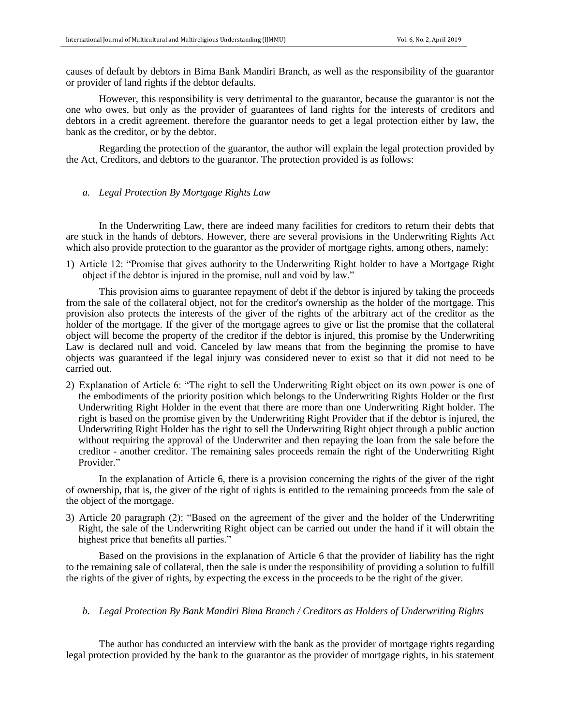causes of default by debtors in Bima Bank Mandiri Branch, as well as the responsibility of the guarantor or provider of land rights if the debtor defaults.

However, this responsibility is very detrimental to the guarantor, because the guarantor is not the one who owes, but only as the provider of guarantees of land rights for the interests of creditors and debtors in a credit agreement. therefore the guarantor needs to get a legal protection either by law, the bank as the creditor, or by the debtor.

Regarding the protection of the guarantor, the author will explain the legal protection provided by the Act, Creditors, and debtors to the guarantor. The protection provided is as follows:

*a. Legal Protection By Mortgage Rights Law*

In the Underwriting Law, there are indeed many facilities for creditors to return their debts that are stuck in the hands of debtors. However, there are several provisions in the Underwriting Rights Act which also provide protection to the guarantor as the provider of mortgage rights, among others, namely:

1) Article 12: "Promise that gives authority to the Underwriting Right holder to have a Mortgage Right object if the debtor is injured in the promise, null and void by law."

This provision aims to guarantee repayment of debt if the debtor is injured by taking the proceeds from the sale of the collateral object, not for the creditor's ownership as the holder of the mortgage. This provision also protects the interests of the giver of the rights of the arbitrary act of the creditor as the holder of the mortgage. If the giver of the mortgage agrees to give or list the promise that the collateral object will become the property of the creditor if the debtor is injured, this promise by the Underwriting Law is declared null and void. Canceled by law means that from the beginning the promise to have objects was guaranteed if the legal injury was considered never to exist so that it did not need to be carried out.

2) Explanation of Article 6: "The right to sell the Underwriting Right object on its own power is one of the embodiments of the priority position which belongs to the Underwriting Rights Holder or the first Underwriting Right Holder in the event that there are more than one Underwriting Right holder. The right is based on the promise given by the Underwriting Right Provider that if the debtor is injured, the Underwriting Right Holder has the right to sell the Underwriting Right object through a public auction without requiring the approval of the Underwriter and then repaying the loan from the sale before the creditor - another creditor. The remaining sales proceeds remain the right of the Underwriting Right Provider."

In the explanation of Article 6, there is a provision concerning the rights of the giver of the right of ownership, that is, the giver of the right of rights is entitled to the remaining proceeds from the sale of the object of the mortgage.

3) Article 20 paragraph (2): "Based on the agreement of the giver and the holder of the Underwriting Right, the sale of the Underwriting Right object can be carried out under the hand if it will obtain the highest price that benefits all parties."

Based on the provisions in the explanation of Article 6 that the provider of liability has the right to the remaining sale of collateral, then the sale is under the responsibility of providing a solution to fulfill the rights of the giver of rights, by expecting the excess in the proceeds to be the right of the giver.

#### *b. Legal Protection By Bank Mandiri Bima Branch / Creditors as Holders of Underwriting Rights*

The author has conducted an interview with the bank as the provider of mortgage rights regarding legal protection provided by the bank to the guarantor as the provider of mortgage rights, in his statement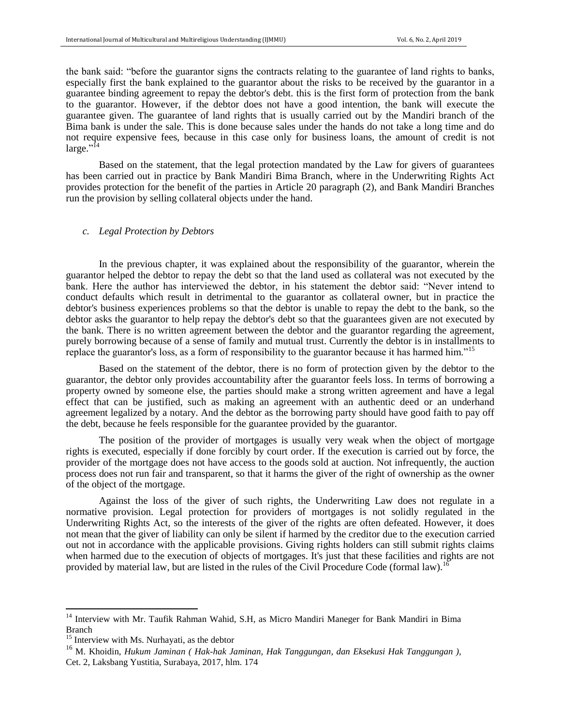the bank said: "before the guarantor signs the contracts relating to the guarantee of land rights to banks, especially first the bank explained to the guarantor about the risks to be received by the guarantor in a guarantee binding agreement to repay the debtor's debt. this is the first form of protection from the bank to the guarantor. However, if the debtor does not have a good intention, the bank will execute the guarantee given. The guarantee of land rights that is usually carried out by the Mandiri branch of the Bima bank is under the sale. This is done because sales under the hands do not take a long time and do not require expensive fees, because in this case only for business loans, the amount of credit is not large."<sup>14</sup>

Based on the statement, that the legal protection mandated by the Law for givers of guarantees has been carried out in practice by Bank Mandiri Bima Branch, where in the Underwriting Rights Act provides protection for the benefit of the parties in Article 20 paragraph (2), and Bank Mandiri Branches run the provision by selling collateral objects under the hand.

#### *c. Legal Protection by Debtors*

In the previous chapter, it was explained about the responsibility of the guarantor, wherein the guarantor helped the debtor to repay the debt so that the land used as collateral was not executed by the bank. Here the author has interviewed the debtor, in his statement the debtor said: "Never intend to conduct defaults which result in detrimental to the guarantor as collateral owner, but in practice the debtor's business experiences problems so that the debtor is unable to repay the debt to the bank, so the debtor asks the guarantor to help repay the debtor's debt so that the guarantees given are not executed by the bank. There is no written agreement between the debtor and the guarantor regarding the agreement, purely borrowing because of a sense of family and mutual trust. Currently the debtor is in installments to replace the guarantor's loss, as a form of responsibility to the guarantor because it has harmed him."<sup>15</sup>

Based on the statement of the debtor, there is no form of protection given by the debtor to the guarantor, the debtor only provides accountability after the guarantor feels loss. In terms of borrowing a property owned by someone else, the parties should make a strong written agreement and have a legal effect that can be justified, such as making an agreement with an authentic deed or an underhand agreement legalized by a notary. And the debtor as the borrowing party should have good faith to pay off the debt, because he feels responsible for the guarantee provided by the guarantor.

The position of the provider of mortgages is usually very weak when the object of mortgage rights is executed, especially if done forcibly by court order. If the execution is carried out by force, the provider of the mortgage does not have access to the goods sold at auction. Not infrequently, the auction process does not run fair and transparent, so that it harms the giver of the right of ownership as the owner of the object of the mortgage.

Against the loss of the giver of such rights, the Underwriting Law does not regulate in a normative provision. Legal protection for providers of mortgages is not solidly regulated in the Underwriting Rights Act, so the interests of the giver of the rights are often defeated. However, it does not mean that the giver of liability can only be silent if harmed by the creditor due to the execution carried out not in accordance with the applicable provisions. Giving rights holders can still submit rights claims when harmed due to the execution of objects of mortgages. It's just that these facilities and rights are not provided by material law, but are listed in the rules of the Civil Procedure Code (formal law).<sup>1</sup>

 $\overline{\phantom{a}}$ 

<sup>&</sup>lt;sup>14</sup> Interview with Mr. Taufik Rahman Wahid, S.H, as Micro Mandiri Maneger for Bank Mandiri in Bima Branch

<sup>&</sup>lt;sup>15</sup> Interview with Ms. Nurhayati, as the debtor

<sup>16</sup> M. Khoidin, *Hukum Jaminan ( Hak-hak Jaminan, Hak Tanggungan, dan Eksekusi Hak Tanggungan ),* Cet. 2, Laksbang Yustitia, Surabaya, 2017, hlm. 174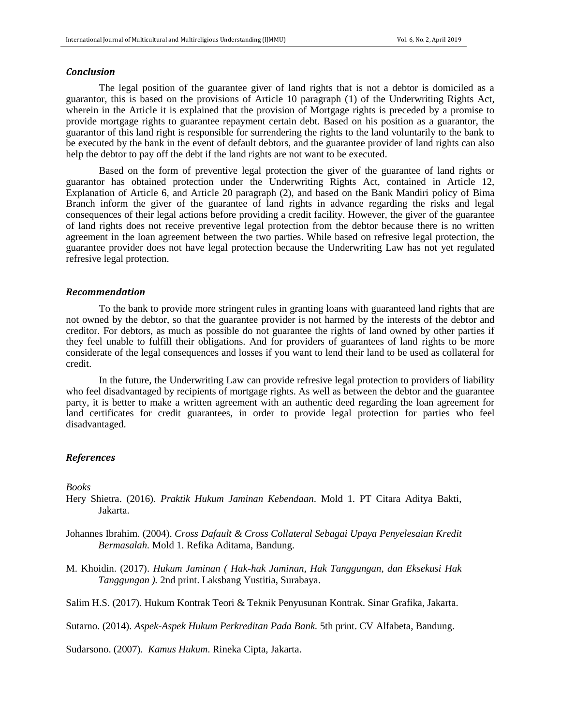#### *Conclusion*

The legal position of the guarantee giver of land rights that is not a debtor is domiciled as a guarantor, this is based on the provisions of Article 10 paragraph (1) of the Underwriting Rights Act, wherein in the Article it is explained that the provision of Mortgage rights is preceded by a promise to provide mortgage rights to guarantee repayment certain debt. Based on his position as a guarantor, the guarantor of this land right is responsible for surrendering the rights to the land voluntarily to the bank to be executed by the bank in the event of default debtors, and the guarantee provider of land rights can also help the debtor to pay off the debt if the land rights are not want to be executed.

Based on the form of preventive legal protection the giver of the guarantee of land rights or guarantor has obtained protection under the Underwriting Rights Act, contained in Article 12, Explanation of Article 6, and Article 20 paragraph (2), and based on the Bank Mandiri policy of Bima Branch inform the giver of the guarantee of land rights in advance regarding the risks and legal consequences of their legal actions before providing a credit facility. However, the giver of the guarantee of land rights does not receive preventive legal protection from the debtor because there is no written agreement in the loan agreement between the two parties. While based on refresive legal protection, the guarantee provider does not have legal protection because the Underwriting Law has not yet regulated refresive legal protection.

#### *Recommendation*

To the bank to provide more stringent rules in granting loans with guaranteed land rights that are not owned by the debtor, so that the guarantee provider is not harmed by the interests of the debtor and creditor. For debtors, as much as possible do not guarantee the rights of land owned by other parties if they feel unable to fulfill their obligations. And for providers of guarantees of land rights to be more considerate of the legal consequences and losses if you want to lend their land to be used as collateral for credit.

In the future, the Underwriting Law can provide refresive legal protection to providers of liability who feel disadvantaged by recipients of mortgage rights. As well as between the debtor and the guarantee party, it is better to make a written agreement with an authentic deed regarding the loan agreement for land certificates for credit guarantees, in order to provide legal protection for parties who feel disadvantaged.

#### *References*

#### *Books*

- Hery Shietra. (2016). *Praktik Hukum Jaminan Kebendaan*. Mold 1. PT Citara Aditya Bakti, Jakarta.
- Johannes Ibrahim. (2004). *Cross Dafault & Cross Collateral Sebagai Upaya Penyelesaian Kredit Bermasalah.* Mold 1. Refika Aditama, Bandung.
- M. Khoidin. (2017). *Hukum Jaminan ( Hak-hak Jaminan, Hak Tanggungan, dan Eksekusi Hak Tanggungan ).* 2nd print. Laksbang Yustitia, Surabaya.
- Salim H.S. (2017). Hukum Kontrak Teori & Teknik Penyusunan Kontrak. Sinar Grafika, Jakarta.

Sutarno. (2014). *Aspek-Aspek Hukum Perkreditan Pada Bank.* 5th print. CV Alfabeta, Bandung.

Sudarsono. (2007). *Kamus Hukum*. Rineka Cipta, Jakarta.